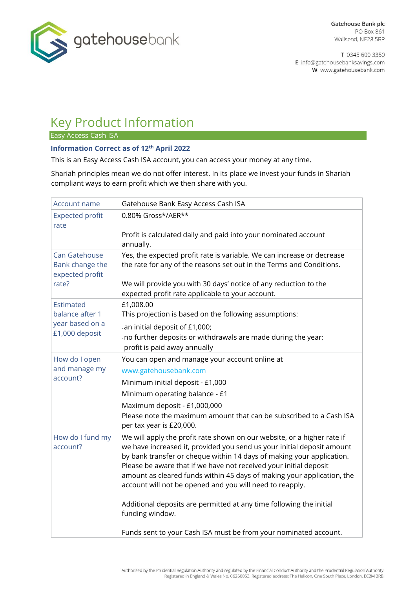

T 0345 600 3350 E info@gatehousebanksavings.com W www.gatehousebank.com

# Key Product Information

Easy Access Cash ISA

#### **Information Correct as of 12th April 2022**

This is an Easy Access Cash ISA account, you can access your money at any time.

Shariah principles mean we do not offer interest. In its place we invest your funds in Shariah compliant ways to earn profit which we then share with you.

| Account name                                                      | Gatehouse Bank Easy Access Cash ISA                                                                                                                                                                                                                                                                                                                                                                                                                                                                                                                                                                 |
|-------------------------------------------------------------------|-----------------------------------------------------------------------------------------------------------------------------------------------------------------------------------------------------------------------------------------------------------------------------------------------------------------------------------------------------------------------------------------------------------------------------------------------------------------------------------------------------------------------------------------------------------------------------------------------------|
| <b>Expected profit</b><br>rate                                    | 0.80% Gross*/AER**                                                                                                                                                                                                                                                                                                                                                                                                                                                                                                                                                                                  |
|                                                                   | Profit is calculated daily and paid into your nominated account<br>annually.                                                                                                                                                                                                                                                                                                                                                                                                                                                                                                                        |
| Can Gatehouse<br>Bank change the<br>expected profit<br>rate?      | Yes, the expected profit rate is variable. We can increase or decrease<br>the rate for any of the reasons set out in the Terms and Conditions.<br>We will provide you with 30 days' notice of any reduction to the<br>expected profit rate applicable to your account.                                                                                                                                                                                                                                                                                                                              |
| Estimated<br>balance after 1<br>year based on a<br>£1,000 deposit | £1,008.00<br>This projection is based on the following assumptions:<br>an initial deposit of £1,000;<br>no further deposits or withdrawals are made during the year;<br>profit is paid away annually                                                                                                                                                                                                                                                                                                                                                                                                |
| How do I open<br>and manage my<br>account?                        | You can open and manage your account online at<br>www.gatehousebank.com<br>Minimum initial deposit - £1,000<br>Minimum operating balance - £1<br>Maximum deposit - £1,000,000<br>Please note the maximum amount that can be subscribed to a Cash ISA<br>per tax year is £20,000.                                                                                                                                                                                                                                                                                                                    |
| How do I fund my<br>account?                                      | We will apply the profit rate shown on our website, or a higher rate if<br>we have increased it, provided you send us your initial deposit amount<br>by bank transfer or cheque within 14 days of making your application.<br>Please be aware that if we have not received your initial deposit<br>amount as cleared funds within 45 days of making your application, the<br>account will not be opened and you will need to reapply.<br>Additional deposits are permitted at any time following the initial<br>funding window.<br>Funds sent to your Cash ISA must be from your nominated account. |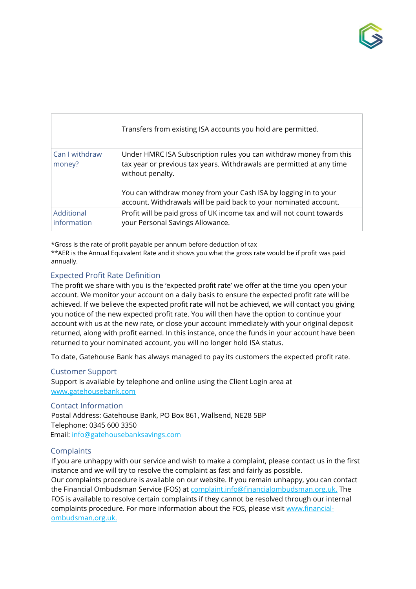

|                           | Transfers from existing ISA accounts you hold are permitted.                                                                                                                                                                                                                                            |
|---------------------------|---------------------------------------------------------------------------------------------------------------------------------------------------------------------------------------------------------------------------------------------------------------------------------------------------------|
| Can I withdraw<br>money?  | Under HMRC ISA Subscription rules you can withdraw money from this<br>tax year or previous tax years. Withdrawals are permitted at any time<br>without penalty.<br>You can withdraw money from your Cash ISA by logging in to your<br>account. Withdrawals will be paid back to your nominated account. |
| Additional<br>information | Profit will be paid gross of UK income tax and will not count towards<br>your Personal Savings Allowance.                                                                                                                                                                                               |

\*Gross is the rate of profit payable per annum before deduction of tax \*\*AER is the Annual Equivalent Rate and it shows you what the gross rate would be if profit was paid annually.

### Expected Profit Rate Definition

The profit we share with you is the 'expected profit rate' we offer at the time you open your account. We monitor your account on a daily basis to ensure the expected profit rate will be achieved. If we believe the expected profit rate will not be achieved, we will contact you giving you notice of the new expected profit rate. You will then have the option to continue your account with us at the new rate, or close your account immediately with your original deposit returned, along with profit earned. In this instance, once the funds in your account have been returned to your nominated account, you will no longer hold ISA status.

To date, Gatehouse Bank has always managed to pay its customers the expected profit rate.

Customer Support

Support is available by telephone and online using the Client Login area at www.gatehousebank.com

Contact Information Postal Address: Gatehouse Bank, PO Box 861, Wallsend, NE28 5BP Telephone: 0345 600 3350 Email: info@gatehousebanksavings.com

#### **Complaints**

If you are unhappy with our service and wish to make a complaint, please contact us in the first instance and we will try to resolve the complaint as fast and fairly as possible.

Our complaints procedure is available on our website. If you remain unhappy, you can contact the Financial Ombudsman Service (FOS) at complaint.info@financialombudsman.org.uk. The FOS is available to resolve certain complaints if they cannot be resolved through our internal complaints procedure. For more information about the FOS, please visit www.financialombudsman.org.uk.